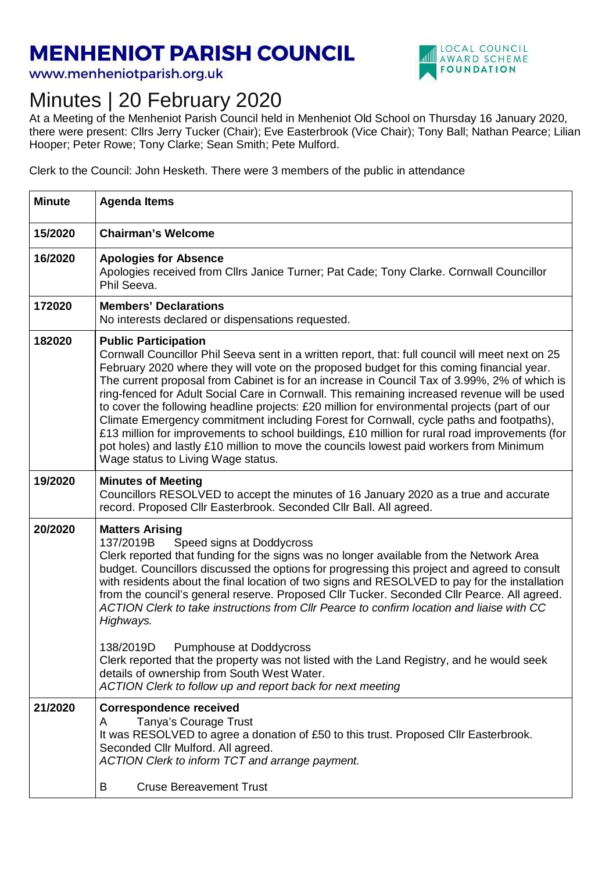## **MENHENIOT PARISH COUNCIL**

www.menheniotparish.org.uk



## Minutes | 20 February 2020

At a Meeting of the Menheniot Parish Council held in Menheniot Old School on Thursday 16 January 2020, there were present: Cllrs Jerry Tucker (Chair); Eve Easterbrook (Vice Chair); Tony Ball; Nathan Pearce; Lilian Hooper; Peter Rowe; Tony Clarke; Sean Smith; Pete Mulford.

Clerk to the Council: John Hesketh. There were 3 members of the public in attendance

| <b>Minute</b> | <b>Agenda Items</b>                                                                                                                                                                                                                                                                                                                                                                                                                                                                                                                                                                                                                                                                                                                                                                                                                                         |
|---------------|-------------------------------------------------------------------------------------------------------------------------------------------------------------------------------------------------------------------------------------------------------------------------------------------------------------------------------------------------------------------------------------------------------------------------------------------------------------------------------------------------------------------------------------------------------------------------------------------------------------------------------------------------------------------------------------------------------------------------------------------------------------------------------------------------------------------------------------------------------------|
| 15/2020       | <b>Chairman's Welcome</b>                                                                                                                                                                                                                                                                                                                                                                                                                                                                                                                                                                                                                                                                                                                                                                                                                                   |
| 16/2020       | <b>Apologies for Absence</b><br>Apologies received from Cllrs Janice Turner; Pat Cade; Tony Clarke. Cornwall Councillor<br>Phil Seeva.                                                                                                                                                                                                                                                                                                                                                                                                                                                                                                                                                                                                                                                                                                                      |
| 172020        | <b>Members' Declarations</b><br>No interests declared or dispensations requested.                                                                                                                                                                                                                                                                                                                                                                                                                                                                                                                                                                                                                                                                                                                                                                           |
| 182020        | <b>Public Participation</b><br>Cornwall Councillor Phil Seeva sent in a written report, that: full council will meet next on 25<br>February 2020 where they will vote on the proposed budget for this coming financial year.<br>The current proposal from Cabinet is for an increase in Council Tax of 3.99%, 2% of which is<br>ring-fenced for Adult Social Care in Cornwall. This remaining increased revenue will be used<br>to cover the following headline projects: £20 million for environmental projects (part of our<br>Climate Emergency commitment including Forest for Cornwall, cycle paths and footpaths),<br>£13 million for improvements to school buildings, £10 million for rural road improvements (for<br>pot holes) and lastly £10 million to move the councils lowest paid workers from Minimum<br>Wage status to Living Wage status. |
| 19/2020       | <b>Minutes of Meeting</b><br>Councillors RESOLVED to accept the minutes of 16 January 2020 as a true and accurate<br>record. Proposed Cllr Easterbrook. Seconded Cllr Ball. All agreed.                                                                                                                                                                                                                                                                                                                                                                                                                                                                                                                                                                                                                                                                     |
| 20/2020       | <b>Matters Arising</b><br>137/2019B<br>Speed signs at Doddycross<br>Clerk reported that funding for the signs was no longer available from the Network Area<br>budget. Councillors discussed the options for progressing this project and agreed to consult<br>with residents about the final location of two signs and RESOLVED to pay for the installation<br>from the council's general reserve. Proposed Cllr Tucker. Seconded Cllr Pearce. All agreed.<br>ACTION Clerk to take instructions from Cllr Pearce to confirm location and liaise with CC<br>Highways.                                                                                                                                                                                                                                                                                       |
|               | 138/2019D<br>Pumphouse at Doddycross<br>Clerk reported that the property was not listed with the Land Registry, and he would seek<br>details of ownership from South West Water.<br>ACTION Clerk to follow up and report back for next meeting                                                                                                                                                                                                                                                                                                                                                                                                                                                                                                                                                                                                              |
| 21/2020       | <b>Correspondence received</b><br>Tanya's Courage Trust<br>A<br>It was RESOLVED to agree a donation of £50 to this trust. Proposed CIIr Easterbrook.<br>Seconded Cllr Mulford. All agreed.<br>ACTION Clerk to inform TCT and arrange payment.<br><b>Cruse Bereavement Trust</b><br>B                                                                                                                                                                                                                                                                                                                                                                                                                                                                                                                                                                        |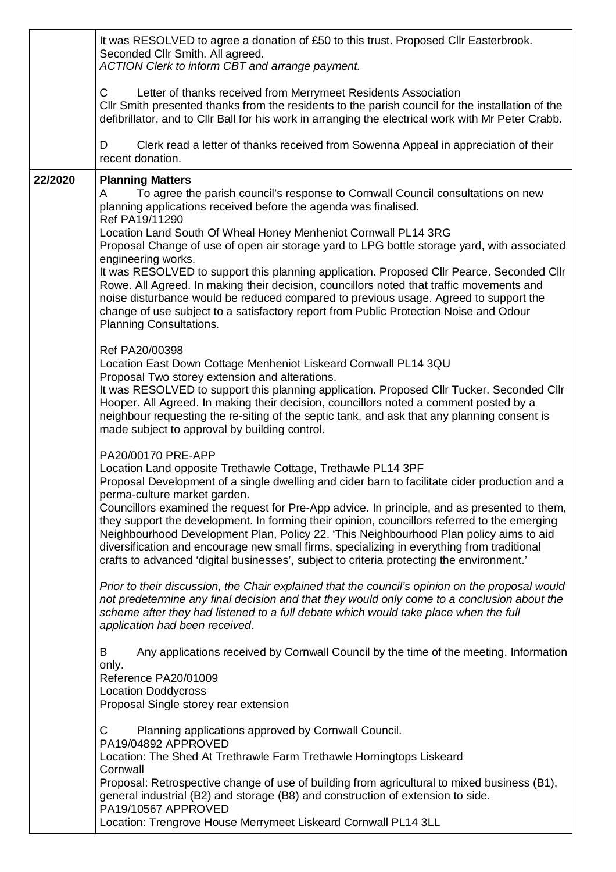|         | It was RESOLVED to agree a donation of £50 to this trust. Proposed CIIr Easterbrook.<br>Seconded Cllr Smith. All agreed.<br>ACTION Clerk to inform CBT and arrange payment.                                                                                                                                                                                                                                                                                                                                                                                                                                                                                                                                                                                                                             |  |
|---------|---------------------------------------------------------------------------------------------------------------------------------------------------------------------------------------------------------------------------------------------------------------------------------------------------------------------------------------------------------------------------------------------------------------------------------------------------------------------------------------------------------------------------------------------------------------------------------------------------------------------------------------------------------------------------------------------------------------------------------------------------------------------------------------------------------|--|
|         | $\mathsf{C}$<br>Letter of thanks received from Merrymeet Residents Association<br>Cllr Smith presented thanks from the residents to the parish council for the installation of the<br>defibrillator, and to Cllr Ball for his work in arranging the electrical work with Mr Peter Crabb.                                                                                                                                                                                                                                                                                                                                                                                                                                                                                                                |  |
|         | Clerk read a letter of thanks received from Sowenna Appeal in appreciation of their<br>D<br>recent donation.                                                                                                                                                                                                                                                                                                                                                                                                                                                                                                                                                                                                                                                                                            |  |
| 22/2020 | <b>Planning Matters</b><br>To agree the parish council's response to Cornwall Council consultations on new<br>A<br>planning applications received before the agenda was finalised.<br>Ref PA19/11290<br>Location Land South Of Wheal Honey Menheniot Cornwall PL14 3RG<br>Proposal Change of use of open air storage yard to LPG bottle storage yard, with associated<br>engineering works.<br>It was RESOLVED to support this planning application. Proposed Cllr Pearce. Seconded Cllr<br>Rowe. All Agreed. In making their decision, councillors noted that traffic movements and<br>noise disturbance would be reduced compared to previous usage. Agreed to support the<br>change of use subject to a satisfactory report from Public Protection Noise and Odour<br><b>Planning Consultations.</b> |  |
|         | Ref PA20/00398<br>Location East Down Cottage Menheniot Liskeard Cornwall PL14 3QU<br>Proposal Two storey extension and alterations.<br>It was RESOLVED to support this planning application. Proposed Cllr Tucker. Seconded Cllr<br>Hooper. All Agreed. In making their decision, councillors noted a comment posted by a<br>neighbour requesting the re-siting of the septic tank, and ask that any planning consent is<br>made subject to approval by building control.                                                                                                                                                                                                                                                                                                                               |  |
|         | PA20/00170 PRE-APP<br>Location Land opposite Trethawle Cottage, Trethawle PL14 3PF<br>Proposal Development of a single dwelling and cider barn to facilitate cider production and a<br>perma-culture market garden.<br>Councillors examined the request for Pre-App advice. In principle, and as presented to them,<br>they support the development. In forming their opinion, councillors referred to the emerging<br>Neighbourhood Development Plan, Policy 22. 'This Neighbourhood Plan policy aims to aid<br>diversification and encourage new small firms, specializing in everything from traditional<br>crafts to advanced 'digital businesses', subject to criteria protecting the environment.'                                                                                                |  |
|         | Prior to their discussion, the Chair explained that the council's opinion on the proposal would<br>not predetermine any final decision and that they would only come to a conclusion about the<br>scheme after they had listened to a full debate which would take place when the full<br>application had been received.                                                                                                                                                                                                                                                                                                                                                                                                                                                                                |  |
|         | Any applications received by Cornwall Council by the time of the meeting. Information<br>B<br>only.<br>Reference PA20/01009<br><b>Location Doddycross</b><br>Proposal Single storey rear extension                                                                                                                                                                                                                                                                                                                                                                                                                                                                                                                                                                                                      |  |
|         | C<br>Planning applications approved by Cornwall Council.<br>PA19/04892 APPROVED<br>Location: The Shed At Trethrawle Farm Trethawle Horningtops Liskeard<br>Cornwall<br>Proposal: Retrospective change of use of building from agricultural to mixed business (B1),<br>general industrial (B2) and storage (B8) and construction of extension to side.<br>PA19/10567 APPROVED<br>Location: Trengrove House Merrymeet Liskeard Cornwall PL14 3LL                                                                                                                                                                                                                                                                                                                                                          |  |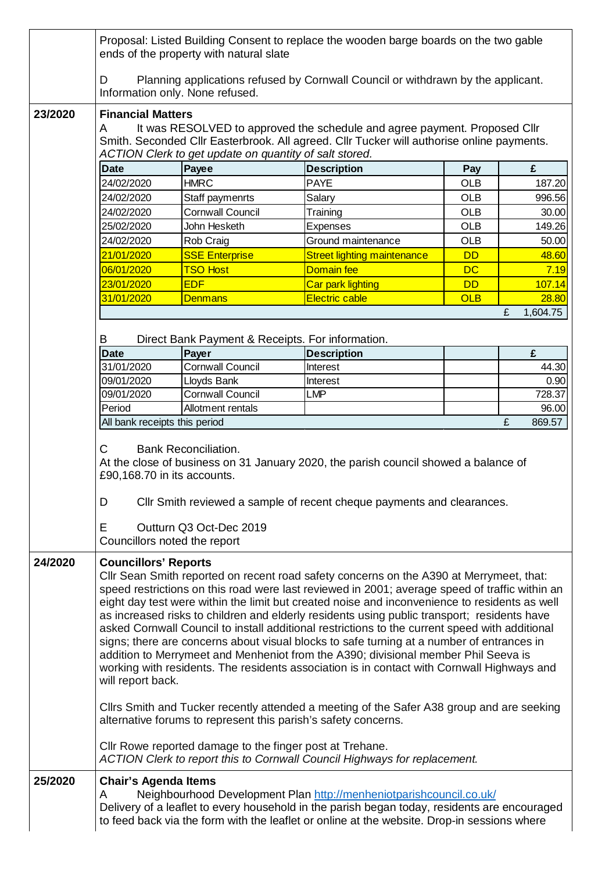|         |                                                  | ends of the property with natural slate                  | Proposal: Listed Building Consent to replace the wooden barge boards on the two gable                                                                                                                                                                                                                                                                                                                                                                                                                                                                                                                                                                                                                                                                                                                                                                                                                                                       |            |               |
|---------|--------------------------------------------------|----------------------------------------------------------|---------------------------------------------------------------------------------------------------------------------------------------------------------------------------------------------------------------------------------------------------------------------------------------------------------------------------------------------------------------------------------------------------------------------------------------------------------------------------------------------------------------------------------------------------------------------------------------------------------------------------------------------------------------------------------------------------------------------------------------------------------------------------------------------------------------------------------------------------------------------------------------------------------------------------------------------|------------|---------------|
|         | D                                                | Information only. None refused.                          | Planning applications refused by Cornwall Council or withdrawn by the applicant.                                                                                                                                                                                                                                                                                                                                                                                                                                                                                                                                                                                                                                                                                                                                                                                                                                                            |            |               |
| 23/2020 | <b>Financial Matters</b><br>A                    | ACTION Clerk to get update on quantity of salt stored.   | It was RESOLVED to approved the schedule and agree payment. Proposed Cllr<br>Smith. Seconded Cllr Easterbrook. All agreed. Cllr Tucker will authorise online payments.                                                                                                                                                                                                                                                                                                                                                                                                                                                                                                                                                                                                                                                                                                                                                                      |            |               |
|         | <b>Date</b>                                      | Payee                                                    | <b>Description</b>                                                                                                                                                                                                                                                                                                                                                                                                                                                                                                                                                                                                                                                                                                                                                                                                                                                                                                                          | Pay        | £             |
|         | 24/02/2020                                       | <b>HMRC</b>                                              | <b>PAYE</b>                                                                                                                                                                                                                                                                                                                                                                                                                                                                                                                                                                                                                                                                                                                                                                                                                                                                                                                                 | <b>OLB</b> | 187.20        |
|         | 24/02/2020                                       | Staff paymenrts                                          | Salary                                                                                                                                                                                                                                                                                                                                                                                                                                                                                                                                                                                                                                                                                                                                                                                                                                                                                                                                      | <b>OLB</b> | 996.56        |
|         | 24/02/2020                                       | <b>Cornwall Council</b>                                  | Training                                                                                                                                                                                                                                                                                                                                                                                                                                                                                                                                                                                                                                                                                                                                                                                                                                                                                                                                    | <b>OLB</b> | 30.00         |
|         | 25/02/2020                                       | John Hesketh                                             | <b>Expenses</b>                                                                                                                                                                                                                                                                                                                                                                                                                                                                                                                                                                                                                                                                                                                                                                                                                                                                                                                             | <b>OLB</b> | 149.26        |
|         | 24/02/2020                                       | Rob Craig                                                | Ground maintenance                                                                                                                                                                                                                                                                                                                                                                                                                                                                                                                                                                                                                                                                                                                                                                                                                                                                                                                          | <b>OLB</b> | 50.00         |
|         | 21/01/2020                                       | <b>SSE Enterprise</b>                                    | <b>Street lighting maintenance</b>                                                                                                                                                                                                                                                                                                                                                                                                                                                                                                                                                                                                                                                                                                                                                                                                                                                                                                          | <b>DD</b>  | 48.60         |
|         | 06/01/2020                                       | <b>TSO Host</b>                                          | Domain fee                                                                                                                                                                                                                                                                                                                                                                                                                                                                                                                                                                                                                                                                                                                                                                                                                                                                                                                                  | <b>DC</b>  | 7.19          |
|         | 23/01/2020                                       | <b>EDF</b>                                               | Car park lighting                                                                                                                                                                                                                                                                                                                                                                                                                                                                                                                                                                                                                                                                                                                                                                                                                                                                                                                           | <b>DD</b>  | 107.14        |
|         |                                                  |                                                          | <b>Electric cable</b>                                                                                                                                                                                                                                                                                                                                                                                                                                                                                                                                                                                                                                                                                                                                                                                                                                                                                                                       | <b>OLB</b> |               |
|         | 31/01/2020                                       | <b>Denmans</b>                                           |                                                                                                                                                                                                                                                                                                                                                                                                                                                                                                                                                                                                                                                                                                                                                                                                                                                                                                                                             |            | 28.80         |
|         |                                                  |                                                          |                                                                                                                                                                                                                                                                                                                                                                                                                                                                                                                                                                                                                                                                                                                                                                                                                                                                                                                                             |            | £<br>1,604.75 |
|         | В                                                | Direct Bank Payment & Receipts. For information.         |                                                                                                                                                                                                                                                                                                                                                                                                                                                                                                                                                                                                                                                                                                                                                                                                                                                                                                                                             |            |               |
|         | <b>Date</b>                                      | Payer                                                    | <b>Description</b>                                                                                                                                                                                                                                                                                                                                                                                                                                                                                                                                                                                                                                                                                                                                                                                                                                                                                                                          |            | £             |
|         | 31/01/2020                                       | <b>Cornwall Council</b>                                  | Interest                                                                                                                                                                                                                                                                                                                                                                                                                                                                                                                                                                                                                                                                                                                                                                                                                                                                                                                                    |            | 44.30         |
|         | 09/01/2020                                       | Lloyds Bank                                              | Interest                                                                                                                                                                                                                                                                                                                                                                                                                                                                                                                                                                                                                                                                                                                                                                                                                                                                                                                                    |            | 0.90          |
|         | 09/01/2020                                       | <b>Cornwall Council</b>                                  | <b>LMP</b>                                                                                                                                                                                                                                                                                                                                                                                                                                                                                                                                                                                                                                                                                                                                                                                                                                                                                                                                  |            | 728.37        |
|         | Period                                           | Allotment rentals                                        |                                                                                                                                                                                                                                                                                                                                                                                                                                                                                                                                                                                                                                                                                                                                                                                                                                                                                                                                             |            | 96.00         |
|         | All bank receipts this period                    |                                                          |                                                                                                                                                                                                                                                                                                                                                                                                                                                                                                                                                                                                                                                                                                                                                                                                                                                                                                                                             |            | £<br>869.57   |
|         | £90,168.70 in its accounts.<br>D<br>Е            | Outturn Q3 Oct-Dec 2019<br>Councillors noted the report  | At the close of business on 31 January 2020, the parish council showed a balance of<br>CIIr Smith reviewed a sample of recent cheque payments and clearances.                                                                                                                                                                                                                                                                                                                                                                                                                                                                                                                                                                                                                                                                                                                                                                               |            |               |
| 24/2020 | <b>Councillors' Reports</b><br>will report back. | Cllr Rowe reported damage to the finger post at Trehane. | CIIr Sean Smith reported on recent road safety concerns on the A390 at Merrymeet, that:<br>speed restrictions on this road were last reviewed in 2001; average speed of traffic within an<br>eight day test were within the limit but created noise and inconvenience to residents as well<br>as increased risks to children and elderly residents using public transport; residents have<br>asked Cornwall Council to install additional restrictions to the current speed with additional<br>signs; there are concerns about visual blocks to safe turning at a number of entrances in<br>addition to Merrymeet and Menheniot from the A390; divisional member Phil Seeva is<br>working with residents. The residents association is in contact with Cornwall Highways and<br>Cllrs Smith and Tucker recently attended a meeting of the Safer A38 group and are seeking<br>alternative forums to represent this parish's safety concerns. |            |               |
| 25/2020 | <b>Chair's Agenda Items</b><br>A                 |                                                          | ACTION Clerk to report this to Cornwall Council Highways for replacement.<br>Neighbourhood Development Plan http://menheniotparishcouncil.co.uk/<br>Delivery of a leaflet to every household in the parish began today, residents are encouraged                                                                                                                                                                                                                                                                                                                                                                                                                                                                                                                                                                                                                                                                                            |            |               |
|         |                                                  |                                                          | to feed back via the form with the leaflet or online at the website. Drop-in sessions where                                                                                                                                                                                                                                                                                                                                                                                                                                                                                                                                                                                                                                                                                                                                                                                                                                                 |            |               |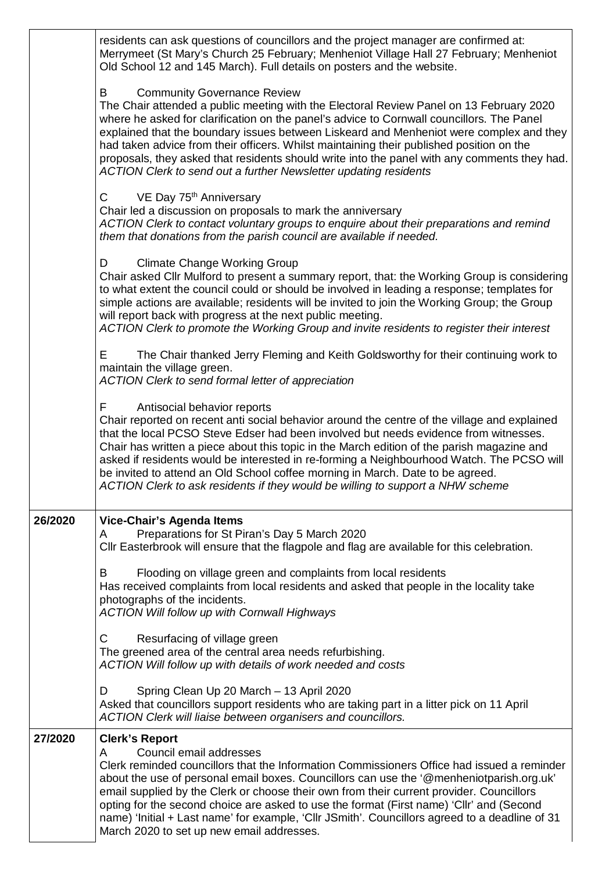|         | residents can ask questions of councillors and the project manager are confirmed at:<br>Merrymeet (St Mary's Church 25 February; Menheniot Village Hall 27 February; Menheniot<br>Old School 12 and 145 March). Full details on posters and the website.                                                                                                                                                                                                                                                                                                                                   |
|---------|--------------------------------------------------------------------------------------------------------------------------------------------------------------------------------------------------------------------------------------------------------------------------------------------------------------------------------------------------------------------------------------------------------------------------------------------------------------------------------------------------------------------------------------------------------------------------------------------|
|         | <b>Community Governance Review</b><br>B<br>The Chair attended a public meeting with the Electoral Review Panel on 13 February 2020<br>where he asked for clarification on the panel's advice to Cornwall councillors. The Panel<br>explained that the boundary issues between Liskeard and Menheniot were complex and they<br>had taken advice from their officers. Whilst maintaining their published position on the<br>proposals, they asked that residents should write into the panel with any comments they had.<br>ACTION Clerk to send out a further Newsletter updating residents |
|         | VE Day 75 <sup>th</sup> Anniversary<br>$\mathsf{C}$<br>Chair led a discussion on proposals to mark the anniversary<br>ACTION Clerk to contact voluntary groups to enquire about their preparations and remind<br>them that donations from the parish council are available if needed.                                                                                                                                                                                                                                                                                                      |
|         | <b>Climate Change Working Group</b><br>D<br>Chair asked Cllr Mulford to present a summary report, that: the Working Group is considering<br>to what extent the council could or should be involved in leading a response; templates for<br>simple actions are available; residents will be invited to join the Working Group; the Group<br>will report back with progress at the next public meeting.<br>ACTION Clerk to promote the Working Group and invite residents to register their interest                                                                                         |
|         | The Chair thanked Jerry Fleming and Keith Goldsworthy for their continuing work to<br>Е<br>maintain the village green.<br>ACTION Clerk to send formal letter of appreciation                                                                                                                                                                                                                                                                                                                                                                                                               |
|         | Antisocial behavior reports<br>F.<br>Chair reported on recent anti social behavior around the centre of the village and explained<br>that the local PCSO Steve Edser had been involved but needs evidence from witnesses.<br>Chair has written a piece about this topic in the March edition of the parish magazine and<br>asked if residents would be interested in re-forming a Neighbourhood Watch. The PCSO will<br>be invited to attend an Old School coffee morning in March. Date to be agreed.<br>ACTION Clerk to ask residents if they would be willing to support a NHW scheme   |
| 26/2020 | <b>Vice-Chair's Agenda Items</b><br>Preparations for St Piran's Day 5 March 2020<br>A<br>CIIr Easterbrook will ensure that the flagpole and flag are available for this celebration.                                                                                                                                                                                                                                                                                                                                                                                                       |
|         | Flooding on village green and complaints from local residents<br>B<br>Has received complaints from local residents and asked that people in the locality take<br>photographs of the incidents.<br><b>ACTION Will follow up with Cornwall Highways</b>                                                                                                                                                                                                                                                                                                                                      |
|         | C<br>Resurfacing of village green<br>The greened area of the central area needs refurbishing.<br>ACTION Will follow up with details of work needed and costs                                                                                                                                                                                                                                                                                                                                                                                                                               |
|         | Spring Clean Up 20 March - 13 April 2020<br>D<br>Asked that councillors support residents who are taking part in a litter pick on 11 April<br>ACTION Clerk will liaise between organisers and councillors.                                                                                                                                                                                                                                                                                                                                                                                 |
| 27/2020 | <b>Clerk's Report</b><br>Council email addresses<br>A<br>Clerk reminded councillors that the Information Commissioners Office had issued a reminder<br>about the use of personal email boxes. Councillors can use the '@menheniotparish.org.uk'<br>email supplied by the Clerk or choose their own from their current provider. Councillors<br>opting for the second choice are asked to use the format (First name) 'Cllr' and (Second<br>name) 'Initial + Last name' for example, 'Cllr JSmith'. Councillors agreed to a deadline of 31<br>March 2020 to set up new email addresses.     |